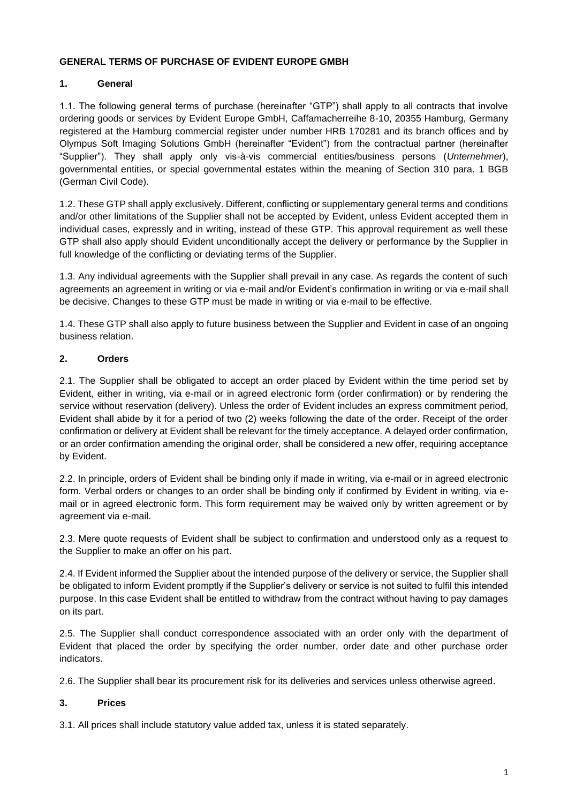#### **GENERAL TERMS OF PURCHASE OF EVIDENT EUROPE GMBH**

# **1. General**

1.1. The following general terms of purchase (hereinafter "GTP") shall apply to all contracts that involve ordering goods or services by Evident Europe GmbH, Caffamacherreihe 8-10, 20355 Hamburg, Germany registered at the Hamburg commercial register under number HRB 170281 and its branch offices and by Olympus Soft Imaging Solutions GmbH (hereinafter "Evident") from the contractual partner (hereinafter "Supplier"). They shall apply only vis-à-vis commercial entities/business persons (*Unternehmer*), governmental entities, or special governmental estates within the meaning of Section 310 para. 1 BGB (German Civil Code).

1.2. These GTP shall apply exclusively. Different, conflicting or supplementary general terms and conditions and/or other limitations of the Supplier shall not be accepted by Evident, unless Evident accepted them in individual cases, expressly and in writing, instead of these GTP. This approval requirement as well these GTP shall also apply should Evident unconditionally accept the delivery or performance by the Supplier in full knowledge of the conflicting or deviating terms of the Supplier.

1.3. Any individual agreements with the Supplier shall prevail in any case. As regards the content of such agreements an agreement in writing or via e-mail and/or Evident's confirmation in writing or via e-mail shall be decisive. Changes to these GTP must be made in writing or via e-mail to be effective.

1.4. These GTP shall also apply to future business between the Supplier and Evident in case of an ongoing business relation.

# **2. Orders**

2.1. The Supplier shall be obligated to accept an order placed by Evident within the time period set by Evident, either in writing, via e-mail or in agreed electronic form (order confirmation) or by rendering the service without reservation (delivery). Unless the order of Evident includes an express commitment period, Evident shall abide by it for a period of two (2) weeks following the date of the order. Receipt of the order confirmation or delivery at Evident shall be relevant for the timely acceptance. A delayed order confirmation, or an order confirmation amending the original order, shall be considered a new offer, requiring acceptance by Evident.

2.2. In principle, orders of Evident shall be binding only if made in writing, via e-mail or in agreed electronic form. Verbal orders or changes to an order shall be binding only if confirmed by Evident in writing, via email or in agreed electronic form. This form requirement may be waived only by written agreement or by agreement via e-mail.

2.3. Mere quote requests of Evident shall be subject to confirmation and understood only as a request to the Supplier to make an offer on his part.

2.4. If Evident informed the Supplier about the intended purpose of the delivery or service, the Supplier shall be obligated to inform Evident promptly if the Supplier's delivery or service is not suited to fulfil this intended purpose. In this case Evident shall be entitled to withdraw from the contract without having to pay damages on its part.

2.5. The Supplier shall conduct correspondence associated with an order only with the department of Evident that placed the order by specifying the order number, order date and other purchase order indicators.

2.6. The Supplier shall bear its procurement risk for its deliveries and services unless otherwise agreed.

### **3. Prices**

3.1. All prices shall include statutory value added tax, unless it is stated separately.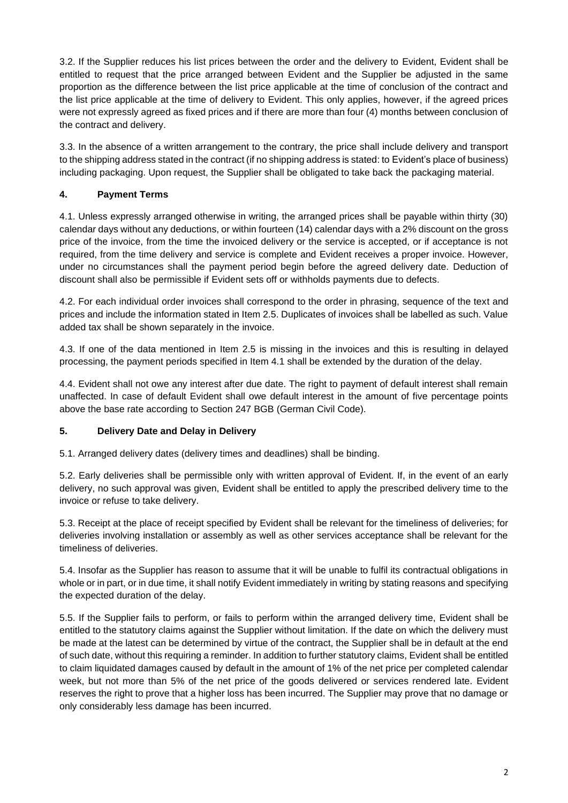3.2. If the Supplier reduces his list prices between the order and the delivery to Evident, Evident shall be entitled to request that the price arranged between Evident and the Supplier be adjusted in the same proportion as the difference between the list price applicable at the time of conclusion of the contract and the list price applicable at the time of delivery to Evident. This only applies, however, if the agreed prices were not expressly agreed as fixed prices and if there are more than four (4) months between conclusion of the contract and delivery.

3.3. In the absence of a written arrangement to the contrary, the price shall include delivery and transport to the shipping address stated in the contract (if no shipping address is stated: to Evident's place of business) including packaging. Upon request, the Supplier shall be obligated to take back the packaging material.

# **4. Payment Terms**

4.1. Unless expressly arranged otherwise in writing, the arranged prices shall be payable within thirty (30) calendar days without any deductions, or within fourteen (14) calendar days with a 2% discount on the gross price of the invoice, from the time the invoiced delivery or the service is accepted, or if acceptance is not required, from the time delivery and service is complete and Evident receives a proper invoice. However, under no circumstances shall the payment period begin before the agreed delivery date. Deduction of discount shall also be permissible if Evident sets off or withholds payments due to defects.

4.2. For each individual order invoices shall correspond to the order in phrasing, sequence of the text and prices and include the information stated in Item 2.5. Duplicates of invoices shall be labelled as such. Value added tax shall be shown separately in the invoice.

4.3. If one of the data mentioned in Item 2.5 is missing in the invoices and this is resulting in delayed processing, the payment periods specified in Item 4.1 shall be extended by the duration of the delay.

4.4. Evident shall not owe any interest after due date. The right to payment of default interest shall remain unaffected. In case of default Evident shall owe default interest in the amount of five percentage points above the base rate according to Section 247 BGB (German Civil Code).

### **5. Delivery Date and Delay in Delivery**

5.1. Arranged delivery dates (delivery times and deadlines) shall be binding.

5.2. Early deliveries shall be permissible only with written approval of Evident. If, in the event of an early delivery, no such approval was given, Evident shall be entitled to apply the prescribed delivery time to the invoice or refuse to take delivery.

5.3. Receipt at the place of receipt specified by Evident shall be relevant for the timeliness of deliveries; for deliveries involving installation or assembly as well as other services acceptance shall be relevant for the timeliness of deliveries.

5.4. Insofar as the Supplier has reason to assume that it will be unable to fulfil its contractual obligations in whole or in part, or in due time, it shall notify Evident immediately in writing by stating reasons and specifying the expected duration of the delay.

5.5. If the Supplier fails to perform, or fails to perform within the arranged delivery time, Evident shall be entitled to the statutory claims against the Supplier without limitation. If the date on which the delivery must be made at the latest can be determined by virtue of the contract, the Supplier shall be in default at the end of such date, without this requiring a reminder. In addition to further statutory claims, Evident shall be entitled to claim liquidated damages caused by default in the amount of 1% of the net price per completed calendar week, but not more than 5% of the net price of the goods delivered or services rendered late. Evident reserves the right to prove that a higher loss has been incurred. The Supplier may prove that no damage or only considerably less damage has been incurred.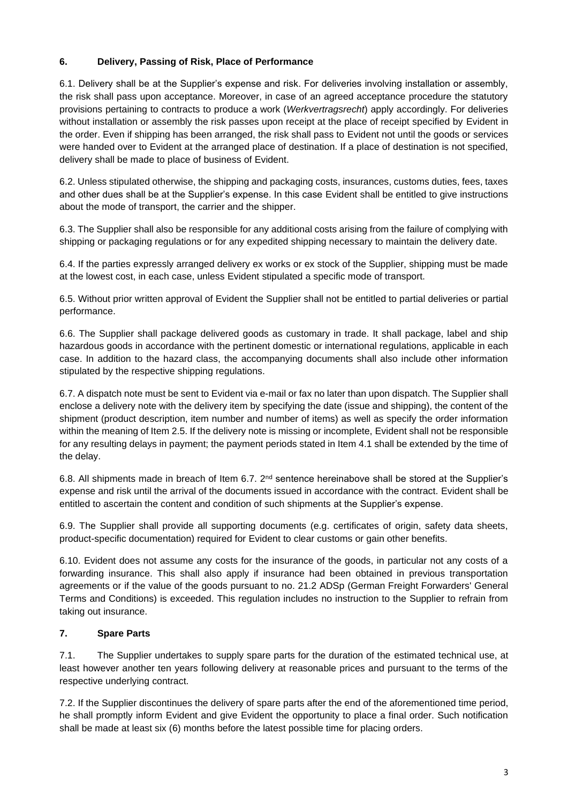## **6. Delivery, Passing of Risk, Place of Performance**

6.1. Delivery shall be at the Supplier's expense and risk. For deliveries involving installation or assembly, the risk shall pass upon acceptance. Moreover, in case of an agreed acceptance procedure the statutory provisions pertaining to contracts to produce a work (*Werkvertragsrecht*) apply accordingly. For deliveries without installation or assembly the risk passes upon receipt at the place of receipt specified by Evident in the order. Even if shipping has been arranged, the risk shall pass to Evident not until the goods or services were handed over to Evident at the arranged place of destination. If a place of destination is not specified, delivery shall be made to place of business of Evident.

6.2. Unless stipulated otherwise, the shipping and packaging costs, insurances, customs duties, fees, taxes and other dues shall be at the Supplier's expense. In this case Evident shall be entitled to give instructions about the mode of transport, the carrier and the shipper.

6.3. The Supplier shall also be responsible for any additional costs arising from the failure of complying with shipping or packaging regulations or for any expedited shipping necessary to maintain the delivery date.

6.4. If the parties expressly arranged delivery ex works or ex stock of the Supplier, shipping must be made at the lowest cost, in each case, unless Evident stipulated a specific mode of transport.

6.5. Without prior written approval of Evident the Supplier shall not be entitled to partial deliveries or partial performance.

6.6. The Supplier shall package delivered goods as customary in trade. It shall package, label and ship hazardous goods in accordance with the pertinent domestic or international regulations, applicable in each case. In addition to the hazard class, the accompanying documents shall also include other information stipulated by the respective shipping regulations.

6.7. A dispatch note must be sent to Evident via e-mail or fax no later than upon dispatch. The Supplier shall enclose a delivery note with the delivery item by specifying the date (issue and shipping), the content of the shipment (product description, item number and number of items) as well as specify the order information within the meaning of Item 2.5. If the delivery note is missing or incomplete, Evident shall not be responsible for any resulting delays in payment; the payment periods stated in Item 4.1 shall be extended by the time of the delay.

6.8. All shipments made in breach of Item 6.7. 2nd sentence hereinabove shall be stored at the Supplier's expense and risk until the arrival of the documents issued in accordance with the contract. Evident shall be entitled to ascertain the content and condition of such shipments at the Supplier's expense.

6.9. The Supplier shall provide all supporting documents (e.g. certificates of origin, safety data sheets, product-specific documentation) required for Evident to clear customs or gain other benefits.

6.10. Evident does not assume any costs for the insurance of the goods, in particular not any costs of a forwarding insurance. This shall also apply if insurance had been obtained in previous transportation agreements or if the value of the goods pursuant to no. 21.2 ADSp (German Freight Forwarders' General Terms and Conditions) is exceeded. This regulation includes no instruction to the Supplier to refrain from taking out insurance.

### **7. Spare Parts**

7.1. The Supplier undertakes to supply spare parts for the duration of the estimated technical use, at least however another ten years following delivery at reasonable prices and pursuant to the terms of the respective underlying contract.

7.2. If the Supplier discontinues the delivery of spare parts after the end of the aforementioned time period, he shall promptly inform Evident and give Evident the opportunity to place a final order. Such notification shall be made at least six (6) months before the latest possible time for placing orders.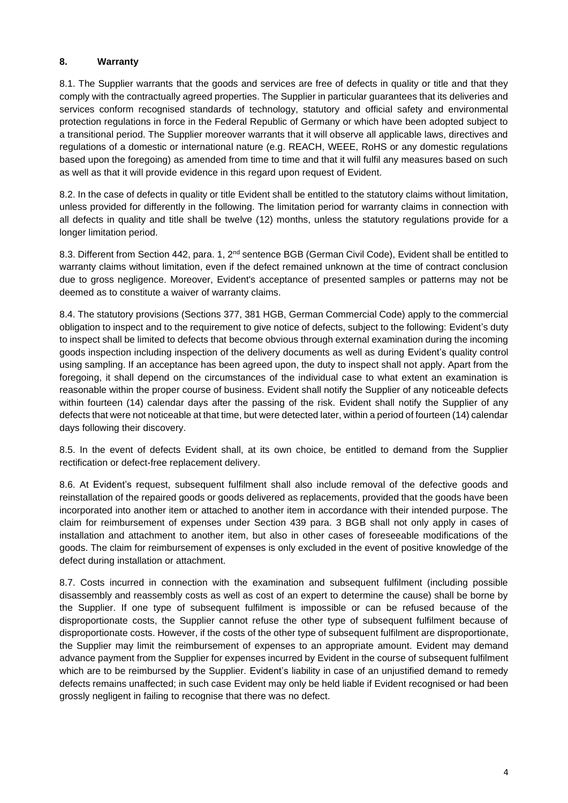### **8. Warranty**

8.1. The Supplier warrants that the goods and services are free of defects in quality or title and that they comply with the contractually agreed properties. The Supplier in particular guarantees that its deliveries and services conform recognised standards of technology, statutory and official safety and environmental protection regulations in force in the Federal Republic of Germany or which have been adopted subject to a transitional period. The Supplier moreover warrants that it will observe all applicable laws, directives and regulations of a domestic or international nature (e.g. REACH, WEEE, RoHS or any domestic regulations based upon the foregoing) as amended from time to time and that it will fulfil any measures based on such as well as that it will provide evidence in this regard upon request of Evident.

8.2. In the case of defects in quality or title Evident shall be entitled to the statutory claims without limitation, unless provided for differently in the following. The limitation period for warranty claims in connection with all defects in quality and title shall be twelve (12) months, unless the statutory regulations provide for a longer limitation period.

8.3. Different from Section 442, para. 1, 2<sup>nd</sup> sentence BGB (German Civil Code), Evident shall be entitled to warranty claims without limitation, even if the defect remained unknown at the time of contract conclusion due to gross negligence. Moreover, Evident's acceptance of presented samples or patterns may not be deemed as to constitute a waiver of warranty claims.

8.4. The statutory provisions (Sections 377, 381 HGB, German Commercial Code) apply to the commercial obligation to inspect and to the requirement to give notice of defects, subject to the following: Evident's duty to inspect shall be limited to defects that become obvious through external examination during the incoming goods inspection including inspection of the delivery documents as well as during Evident's quality control using sampling. If an acceptance has been agreed upon, the duty to inspect shall not apply. Apart from the foregoing, it shall depend on the circumstances of the individual case to what extent an examination is reasonable within the proper course of business. Evident shall notify the Supplier of any noticeable defects within fourteen (14) calendar days after the passing of the risk. Evident shall notify the Supplier of any defects that were not noticeable at that time, but were detected later, within a period of fourteen (14) calendar days following their discovery.

8.5. In the event of defects Evident shall, at its own choice, be entitled to demand from the Supplier rectification or defect-free replacement delivery.

8.6. At Evident's request, subsequent fulfilment shall also include removal of the defective goods and reinstallation of the repaired goods or goods delivered as replacements, provided that the goods have been incorporated into another item or attached to another item in accordance with their intended purpose. The claim for reimbursement of expenses under Section 439 para. 3 BGB shall not only apply in cases of installation and attachment to another item, but also in other cases of foreseeable modifications of the goods. The claim for reimbursement of expenses is only excluded in the event of positive knowledge of the defect during installation or attachment.

8.7. Costs incurred in connection with the examination and subsequent fulfilment (including possible disassembly and reassembly costs as well as cost of an expert to determine the cause) shall be borne by the Supplier. If one type of subsequent fulfilment is impossible or can be refused because of the disproportionate costs, the Supplier cannot refuse the other type of subsequent fulfilment because of disproportionate costs. However, if the costs of the other type of subsequent fulfilment are disproportionate, the Supplier may limit the reimbursement of expenses to an appropriate amount. Evident may demand advance payment from the Supplier for expenses incurred by Evident in the course of subsequent fulfilment which are to be reimbursed by the Supplier. Evident's liability in case of an unjustified demand to remedy defects remains unaffected; in such case Evident may only be held liable if Evident recognised or had been grossly negligent in failing to recognise that there was no defect.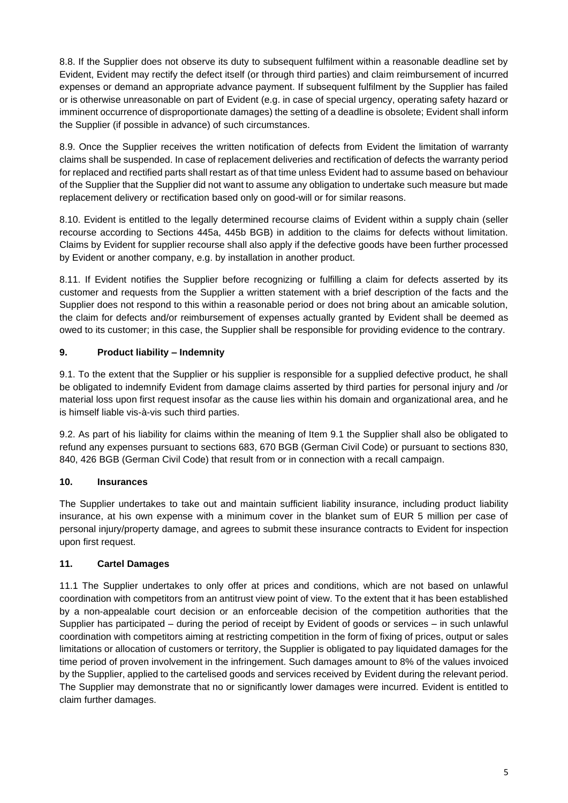8.8. If the Supplier does not observe its duty to subsequent fulfilment within a reasonable deadline set by Evident, Evident may rectify the defect itself (or through third parties) and claim reimbursement of incurred expenses or demand an appropriate advance payment. If subsequent fulfilment by the Supplier has failed or is otherwise unreasonable on part of Evident (e.g. in case of special urgency, operating safety hazard or imminent occurrence of disproportionate damages) the setting of a deadline is obsolete; Evident shall inform the Supplier (if possible in advance) of such circumstances.

8.9. Once the Supplier receives the written notification of defects from Evident the limitation of warranty claims shall be suspended. In case of replacement deliveries and rectification of defects the warranty period for replaced and rectified parts shall restart as of that time unless Evident had to assume based on behaviour of the Supplier that the Supplier did not want to assume any obligation to undertake such measure but made replacement delivery or rectification based only on good-will or for similar reasons.

8.10. Evident is entitled to the legally determined recourse claims of Evident within a supply chain (seller recourse according to Sections 445a, 445b BGB) in addition to the claims for defects without limitation. Claims by Evident for supplier recourse shall also apply if the defective goods have been further processed by Evident or another company, e.g. by installation in another product.

8.11. If Evident notifies the Supplier before recognizing or fulfilling a claim for defects asserted by its customer and requests from the Supplier a written statement with a brief description of the facts and the Supplier does not respond to this within a reasonable period or does not bring about an amicable solution, the claim for defects and/or reimbursement of expenses actually granted by Evident shall be deemed as owed to its customer; in this case, the Supplier shall be responsible for providing evidence to the contrary.

# **9. Product liability – Indemnity**

9.1. To the extent that the Supplier or his supplier is responsible for a supplied defective product, he shall be obligated to indemnify Evident from damage claims asserted by third parties for personal injury and /or material loss upon first request insofar as the cause lies within his domain and organizational area, and he is himself liable vis-à-vis such third parties.

9.2. As part of his liability for claims within the meaning of Item 9.1 the Supplier shall also be obligated to refund any expenses pursuant to sections 683, 670 BGB (German Civil Code) or pursuant to sections 830, 840, 426 BGB (German Civil Code) that result from or in connection with a recall campaign.

### **10. Insurances**

The Supplier undertakes to take out and maintain sufficient liability insurance, including product liability insurance, at his own expense with a minimum cover in the blanket sum of EUR 5 million per case of personal injury/property damage, and agrees to submit these insurance contracts to Evident for inspection upon first request.

### **11. Cartel Damages**

11.1 The Supplier undertakes to only offer at prices and conditions, which are not based on unlawful coordination with competitors from an antitrust view point of view. To the extent that it has been established by a non-appealable court decision or an enforceable decision of the competition authorities that the Supplier has participated – during the period of receipt by Evident of goods or services – in such unlawful coordination with competitors aiming at restricting competition in the form of fixing of prices, output or sales limitations or allocation of customers or territory, the Supplier is obligated to pay liquidated damages for the time period of proven involvement in the infringement. Such damages amount to 8% of the values invoiced by the Supplier, applied to the cartelised goods and services received by Evident during the relevant period. The Supplier may demonstrate that no or significantly lower damages were incurred. Evident is entitled to claim further damages.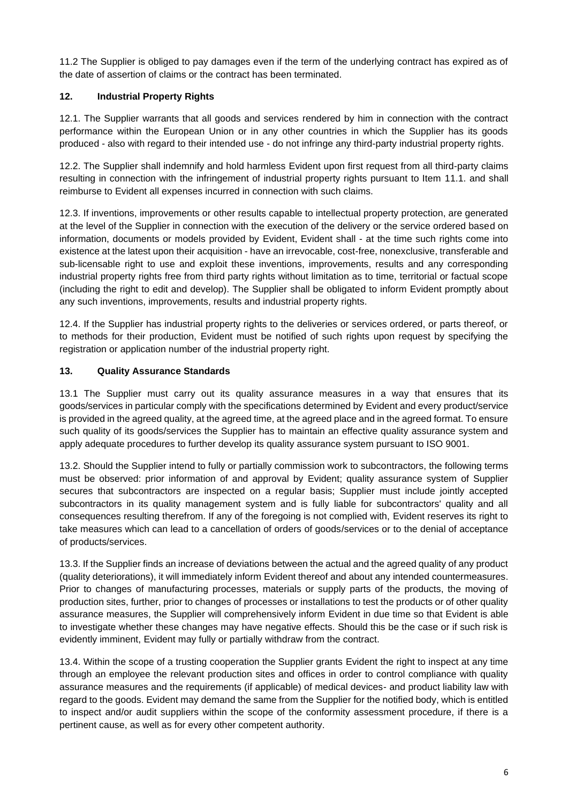11.2 The Supplier is obliged to pay damages even if the term of the underlying contract has expired as of the date of assertion of claims or the contract has been terminated.

# **12. Industrial Property Rights**

12.1. The Supplier warrants that all goods and services rendered by him in connection with the contract performance within the European Union or in any other countries in which the Supplier has its goods produced - also with regard to their intended use - do not infringe any third-party industrial property rights.

12.2. The Supplier shall indemnify and hold harmless Evident upon first request from all third-party claims resulting in connection with the infringement of industrial property rights pursuant to Item 11.1. and shall reimburse to Evident all expenses incurred in connection with such claims.

12.3. If inventions, improvements or other results capable to intellectual property protection, are generated at the level of the Supplier in connection with the execution of the delivery or the service ordered based on information, documents or models provided by Evident, Evident shall - at the time such rights come into existence at the latest upon their acquisition - have an irrevocable, cost-free, nonexclusive, transferable and sub-licensable right to use and exploit these inventions, improvements, results and any corresponding industrial property rights free from third party rights without limitation as to time, territorial or factual scope (including the right to edit and develop). The Supplier shall be obligated to inform Evident promptly about any such inventions, improvements, results and industrial property rights.

12.4. If the Supplier has industrial property rights to the deliveries or services ordered, or parts thereof, or to methods for their production, Evident must be notified of such rights upon request by specifying the registration or application number of the industrial property right.

#### **13. Quality Assurance Standards**

13.1 The Supplier must carry out its quality assurance measures in a way that ensures that its goods/services in particular comply with the specifications determined by Evident and every product/service is provided in the agreed quality, at the agreed time, at the agreed place and in the agreed format. To ensure such quality of its goods/services the Supplier has to maintain an effective quality assurance system and apply adequate procedures to further develop its quality assurance system pursuant to ISO 9001.

13.2. Should the Supplier intend to fully or partially commission work to subcontractors, the following terms must be observed: prior information of and approval by Evident; quality assurance system of Supplier secures that subcontractors are inspected on a regular basis; Supplier must include jointly accepted subcontractors in its quality management system and is fully liable for subcontractors' quality and all consequences resulting therefrom. If any of the foregoing is not complied with, Evident reserves its right to take measures which can lead to a cancellation of orders of goods/services or to the denial of acceptance of products/services.

13.3. If the Supplier finds an increase of deviations between the actual and the agreed quality of any product (quality deteriorations), it will immediately inform Evident thereof and about any intended countermeasures. Prior to changes of manufacturing processes, materials or supply parts of the products, the moving of production sites, further, prior to changes of processes or installations to test the products or of other quality assurance measures, the Supplier will comprehensively inform Evident in due time so that Evident is able to investigate whether these changes may have negative effects. Should this be the case or if such risk is evidently imminent, Evident may fully or partially withdraw from the contract.

13.4. Within the scope of a trusting cooperation the Supplier grants Evident the right to inspect at any time through an employee the relevant production sites and offices in order to control compliance with quality assurance measures and the requirements (if applicable) of medical devices- and product liability law with regard to the goods. Evident may demand the same from the Supplier for the notified body, which is entitled to inspect and/or audit suppliers within the scope of the conformity assessment procedure, if there is a pertinent cause, as well as for every other competent authority.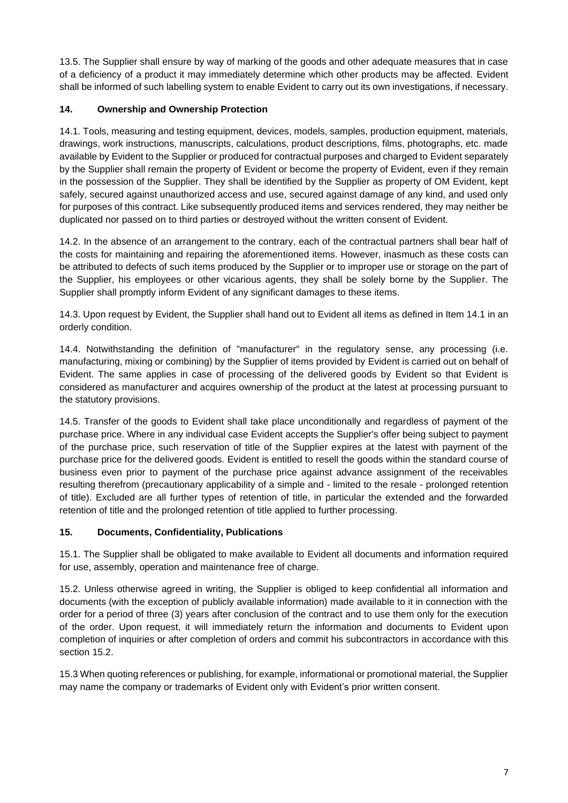13.5. The Supplier shall ensure by way of marking of the goods and other adequate measures that in case of a deficiency of a product it may immediately determine which other products may be affected. Evident shall be informed of such labelling system to enable Evident to carry out its own investigations, if necessary.

# **14. Ownership and Ownership Protection**

14.1. Tools, measuring and testing equipment, devices, models, samples, production equipment, materials, drawings, work instructions, manuscripts, calculations, product descriptions, films, photographs, etc. made available by Evident to the Supplier or produced for contractual purposes and charged to Evident separately by the Supplier shall remain the property of Evident or become the property of Evident, even if they remain in the possession of the Supplier. They shall be identified by the Supplier as property of OM Evident, kept safely, secured against unauthorized access and use, secured against damage of any kind, and used only for purposes of this contract. Like subsequently produced items and services rendered, they may neither be duplicated nor passed on to third parties or destroyed without the written consent of Evident.

14.2. In the absence of an arrangement to the contrary, each of the contractual partners shall bear half of the costs for maintaining and repairing the aforementioned items. However, inasmuch as these costs can be attributed to defects of such items produced by the Supplier or to improper use or storage on the part of the Supplier, his employees or other vicarious agents, they shall be solely borne by the Supplier. The Supplier shall promptly inform Evident of any significant damages to these items.

14.3. Upon request by Evident, the Supplier shall hand out to Evident all items as defined in Item 14.1 in an orderly condition.

14.4. Notwithstanding the definition of "manufacturer" in the regulatory sense, any processing (i.e. manufacturing, mixing or combining) by the Supplier of items provided by Evident is carried out on behalf of Evident. The same applies in case of processing of the delivered goods by Evident so that Evident is considered as manufacturer and acquires ownership of the product at the latest at processing pursuant to the statutory provisions.

14.5. Transfer of the goods to Evident shall take place unconditionally and regardless of payment of the purchase price. Where in any individual case Evident accepts the Supplier's offer being subject to payment of the purchase price, such reservation of title of the Supplier expires at the latest with payment of the purchase price for the delivered goods. Evident is entitled to resell the goods within the standard course of business even prior to payment of the purchase price against advance assignment of the receivables resulting therefrom (precautionary applicability of a simple and - limited to the resale - prolonged retention of title). Excluded are all further types of retention of title, in particular the extended and the forwarded retention of title and the prolonged retention of title applied to further processing.

### **15. Documents, Confidentiality, Publications**

15.1. The Supplier shall be obligated to make available to Evident all documents and information required for use, assembly, operation and maintenance free of charge.

15.2. Unless otherwise agreed in writing, the Supplier is obliged to keep confidential all information and documents (with the exception of publicly available information) made available to it in connection with the order for a period of three (3) years after conclusion of the contract and to use them only for the execution of the order. Upon request, it will immediately return the information and documents to Evident upon completion of inquiries or after completion of orders and commit his subcontractors in accordance with this section 15.2.

15.3 When quoting references or publishing, for example, informational or promotional material, the Supplier may name the company or trademarks of Evident only with Evident's prior written consent.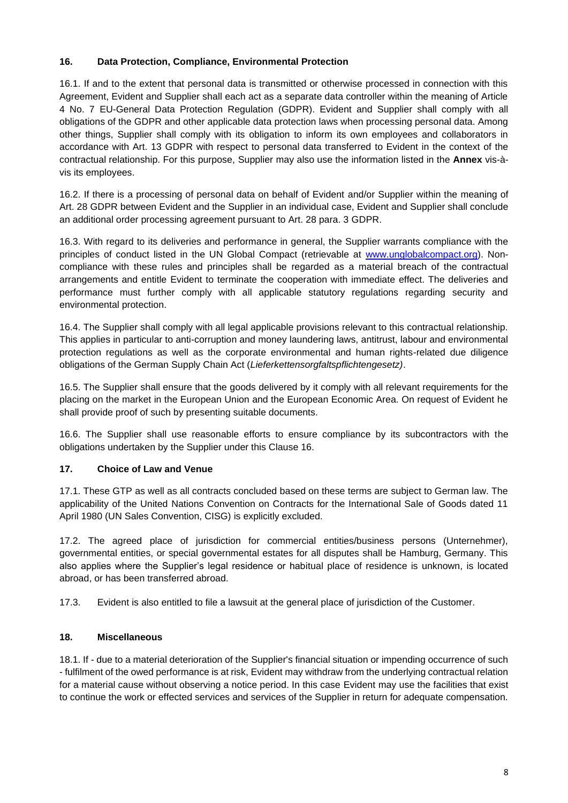#### **16. Data Protection, Compliance, Environmental Protection**

16.1. If and to the extent that personal data is transmitted or otherwise processed in connection with this Agreement, Evident and Supplier shall each act as a separate data controller within the meaning of Article 4 No. 7 EU-General Data Protection Regulation (GDPR). Evident and Supplier shall comply with all obligations of the GDPR and other applicable data protection laws when processing personal data. Among other things, Supplier shall comply with its obligation to inform its own employees and collaborators in accordance with Art. 13 GDPR with respect to personal data transferred to Evident in the context of the contractual relationship. For this purpose, Supplier may also use the information listed in the **Annex** vis-àvis its employees.

16.2. If there is a processing of personal data on behalf of Evident and/or Supplier within the meaning of Art. 28 GDPR between Evident and the Supplier in an individual case, Evident and Supplier shall conclude an additional order processing agreement pursuant to Art. 28 para. 3 GDPR.

16.3. With regard to its deliveries and performance in general, the Supplier warrants compliance with the principles of conduct listed in the UN Global Compact (retrievable at [www.unglobalcompact.org\)](http://www.unglobalcompact.org/). Noncompliance with these rules and principles shall be regarded as a material breach of the contractual arrangements and entitle Evident to terminate the cooperation with immediate effect. The deliveries and performance must further comply with all applicable statutory regulations regarding security and environmental protection.

16.4. The Supplier shall comply with all legal applicable provisions relevant to this contractual relationship. This applies in particular to anti-corruption and money laundering laws, antitrust, labour and environmental protection regulations as well as the corporate environmental and human rights-related due diligence obligations of the German Supply Chain Act (*Lieferkettensorgfaltspflichtengesetz)*.

16.5. The Supplier shall ensure that the goods delivered by it comply with all relevant requirements for the placing on the market in the European Union and the European Economic Area. On request of Evident he shall provide proof of such by presenting suitable documents.

16.6. The Supplier shall use reasonable efforts to ensure compliance by its subcontractors with the obligations undertaken by the Supplier under this Clause 16.

### **17. Choice of Law and Venue**

17.1. These GTP as well as all contracts concluded based on these terms are subject to German law. The applicability of the United Nations Convention on Contracts for the International Sale of Goods dated 11 April 1980 (UN Sales Convention, CISG) is explicitly excluded.

17.2. The agreed place of jurisdiction for commercial entities/business persons (Unternehmer), governmental entities, or special governmental estates for all disputes shall be Hamburg, Germany. This also applies where the Supplier's legal residence or habitual place of residence is unknown, is located abroad, or has been transferred abroad.

17.3. Evident is also entitled to file a lawsuit at the general place of jurisdiction of the Customer.

#### **18. Miscellaneous**

18.1. If - due to a material deterioration of the Supplier's financial situation or impending occurrence of such - fulfilment of the owed performance is at risk, Evident may withdraw from the underlying contractual relation for a material cause without observing a notice period. In this case Evident may use the facilities that exist to continue the work or effected services and services of the Supplier in return for adequate compensation.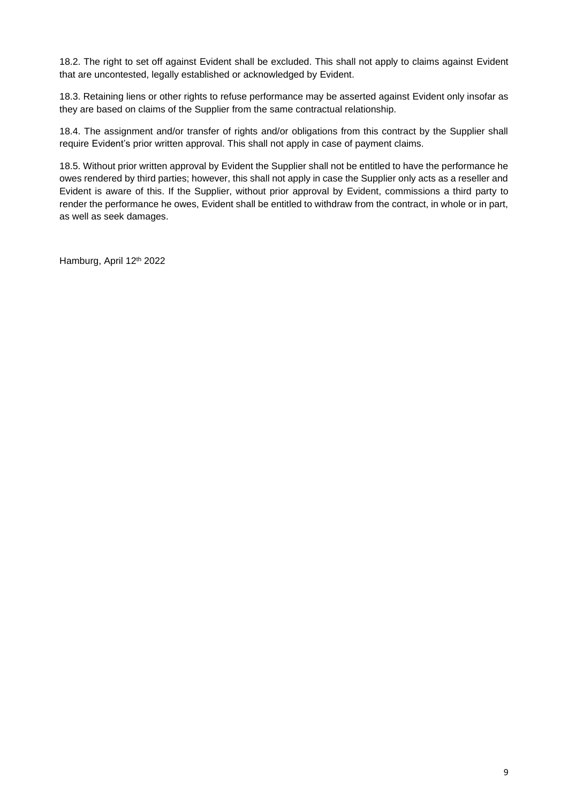18.2. The right to set off against Evident shall be excluded. This shall not apply to claims against Evident that are uncontested, legally established or acknowledged by Evident.

18.3. Retaining liens or other rights to refuse performance may be asserted against Evident only insofar as they are based on claims of the Supplier from the same contractual relationship.

18.4. The assignment and/or transfer of rights and/or obligations from this contract by the Supplier shall require Evident's prior written approval. This shall not apply in case of payment claims.

18.5. Without prior written approval by Evident the Supplier shall not be entitled to have the performance he owes rendered by third parties; however, this shall not apply in case the Supplier only acts as a reseller and Evident is aware of this. If the Supplier, without prior approval by Evident, commissions a third party to render the performance he owes, Evident shall be entitled to withdraw from the contract, in whole or in part, as well as seek damages.

Hamburg, April 12th 2022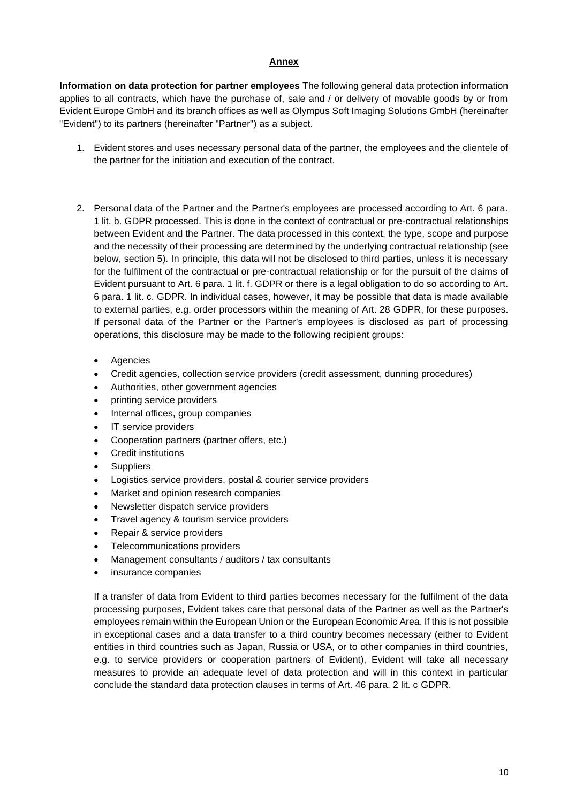#### **Annex**

**Information on data protection for partner employees** The following general data protection information applies to all contracts, which have the purchase of, sale and / or delivery of movable goods by or from Evident Europe GmbH and its branch offices as well as Olympus Soft Imaging Solutions GmbH (hereinafter "Evident") to its partners (hereinafter "Partner") as a subject.

- 1. Evident stores and uses necessary personal data of the partner, the employees and the clientele of the partner for the initiation and execution of the contract.
- 2. Personal data of the Partner and the Partner's employees are processed according to Art. 6 para. 1 lit. b. GDPR processed. This is done in the context of contractual or pre-contractual relationships between Evident and the Partner. The data processed in this context, the type, scope and purpose and the necessity of their processing are determined by the underlying contractual relationship (see below, section 5). In principle, this data will not be disclosed to third parties, unless it is necessary for the fulfilment of the contractual or pre-contractual relationship or for the pursuit of the claims of Evident pursuant to Art. 6 para. 1 lit. f. GDPR or there is a legal obligation to do so according to Art. 6 para. 1 lit. c. GDPR. In individual cases, however, it may be possible that data is made available to external parties, e.g. order processors within the meaning of Art. 28 GDPR, for these purposes. If personal data of the Partner or the Partner's employees is disclosed as part of processing operations, this disclosure may be made to the following recipient groups:
	- **Agencies**
	- Credit agencies, collection service providers (credit assessment, dunning procedures)
	- Authorities, other government agencies
	- printing service providers
	- Internal offices, group companies
	- IT service providers
	- Cooperation partners (partner offers, etc.)
	- Credit institutions
	- **Suppliers**
	- Logistics service providers, postal & courier service providers
	- Market and opinion research companies
	- Newsletter dispatch service providers
	- Travel agency & tourism service providers
	- Repair & service providers
	- Telecommunications providers
	- Management consultants / auditors / tax consultants
	- insurance companies

If a transfer of data from Evident to third parties becomes necessary for the fulfilment of the data processing purposes, Evident takes care that personal data of the Partner as well as the Partner's employees remain within the European Union or the European Economic Area. If this is not possible in exceptional cases and a data transfer to a third country becomes necessary (either to Evident entities in third countries such as Japan, Russia or USA, or to other companies in third countries, e.g. to service providers or cooperation partners of Evident), Evident will take all necessary measures to provide an adequate level of data protection and will in this context in particular conclude the standard data protection clauses in terms of Art. 46 para. 2 lit. c GDPR.